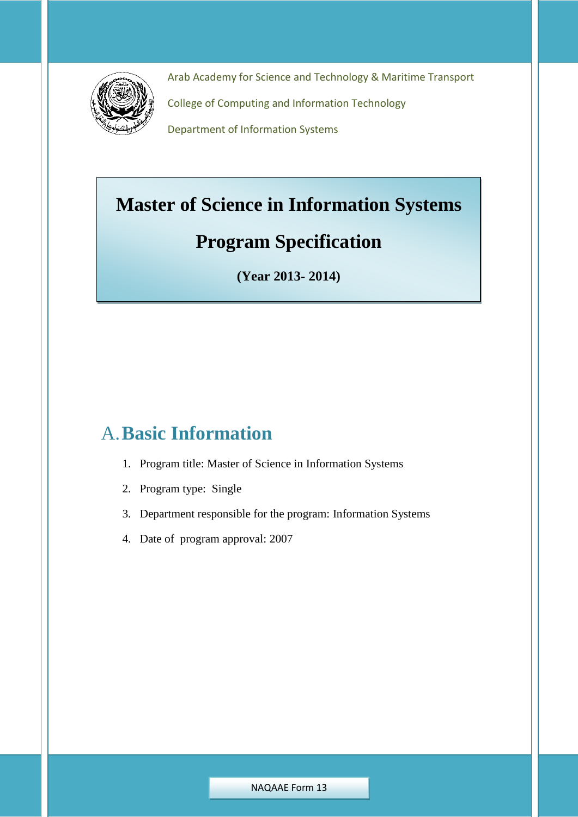

Arab Academy for Science and Technology & Maritime Transport

College of Computing and Information Technology

Department of Information Systems

# **Master of Science in Information Systems**

# **Program Specification**

**(Year 2013- 2014)**

# A.**Basic Information**

- 1. Program title: Master of Science in Information Systems
- 2. Program type: Single
- 3. Department responsible for the program: Information Systems
- 4. Date of program approval: 2007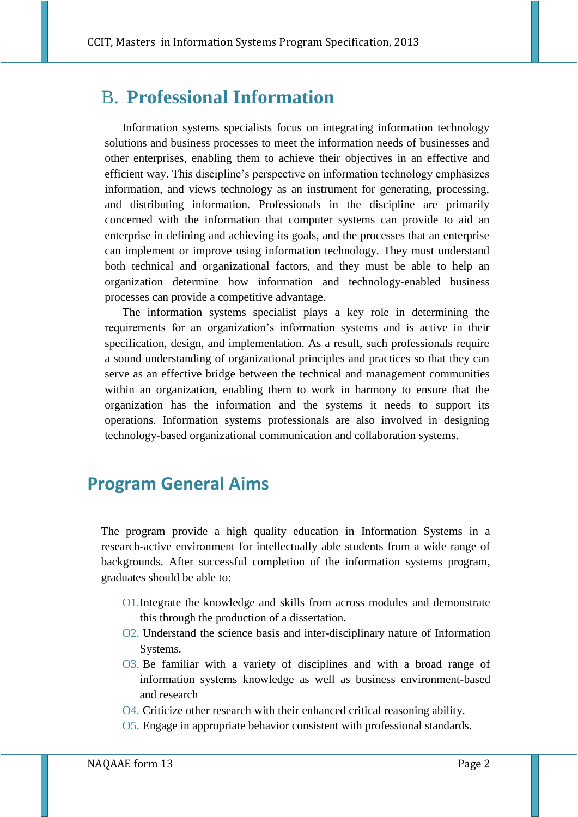# B. **Professional Information**

Information systems specialists focus on integrating information technology solutions and business processes to meet the information needs of businesses and other enterprises, enabling them to achieve their objectives in an effective and efficient way. This discipline's perspective on information technology emphasizes information, and views technology as an instrument for generating, processing, and distributing information. Professionals in the discipline are primarily concerned with the information that computer systems can provide to aid an enterprise in defining and achieving its goals, and the processes that an enterprise can implement or improve using information technology. They must understand both technical and organizational factors, and they must be able to help an organization determine how information and technology-enabled business processes can provide a competitive advantage.

The information systems specialist plays a key role in determining the requirements for an organization's information systems and is active in their specification, design, and implementation. As a result, such professionals require a sound understanding of organizational principles and practices so that they can serve as an effective bridge between the technical and management communities within an organization, enabling them to work in harmony to ensure that the organization has the information and the systems it needs to support its operations. Information systems professionals are also involved in designing technology-based organizational communication and collaboration systems.

# **Program General Aims**

The program provide a high quality education in Information Systems in a research-active environment for intellectually able students from a wide range of backgrounds. After successful completion of the information systems program, graduates should be able to:

- O1.Integrate the knowledge and skills from across modules and demonstrate this through the production of a dissertation.
- O2. Understand the science basis and inter-disciplinary nature of Information Systems.
- O3. Be familiar with a variety of disciplines and with a broad range of information systems knowledge as well as business environment-based and research
- O4. Criticize other research with their enhanced critical reasoning ability.
- O5. Engage in appropriate behavior consistent with professional standards.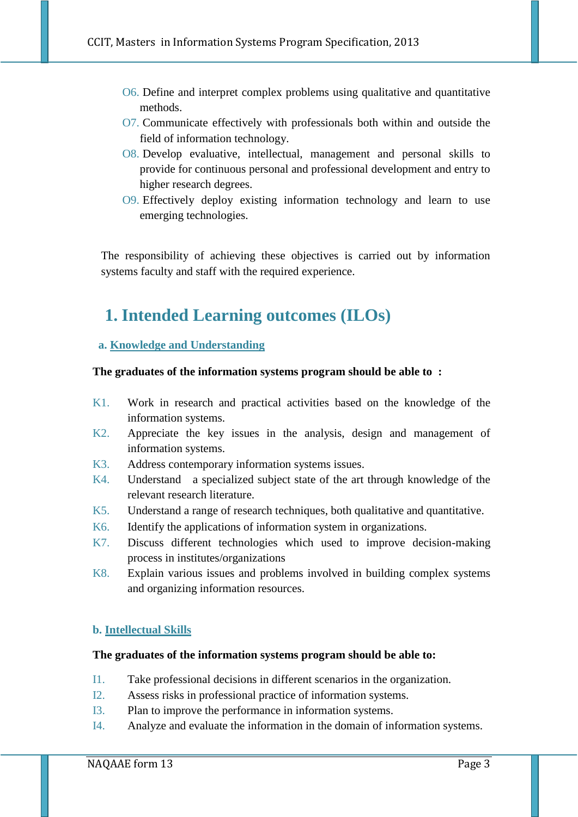- O6. Define and interpret complex problems using qualitative and quantitative methods.
- O7. Communicate effectively with professionals both within and outside the field of information technology.
- O8. Develop evaluative, intellectual, management and personal skills to provide for continuous personal and professional development and entry to higher research degrees.
- O9. Effectively deploy existing information technology and learn to use emerging technologies.

The responsibility of achieving these objectives is carried out by information systems faculty and staff with the required experience.

# **1. Intended Learning outcomes (ILOs)**

### **a. Knowledge and Understanding**

#### **The graduates of the information systems program should be able to :**

- K1. Work in research and practical activities based on the knowledge of the information systems.
- K2. Appreciate the key issues in the analysis, design and management of information systems.
- K3. Address contemporary information systems issues.
- K4. Understand a specialized subject state of the art through knowledge of the relevant research literature.
- K5. Understand a range of research techniques, both qualitative and quantitative.
- K6. Identify the applications of information system in organizations.
- K7. Discuss different technologies which used to improve decision-making process in institutes/organizations
- K8. Explain various issues and problems involved in building complex systems and organizing information resources.

#### **b. Intellectual Skills**

#### **The graduates of the information systems program should be able to:**

- I1. Take professional decisions in different scenarios in the organization.
- I2. Assess risks in professional practice of information systems.
- I3. Plan to improve the performance in information systems.
- I4. Analyze and evaluate the information in the domain of information systems.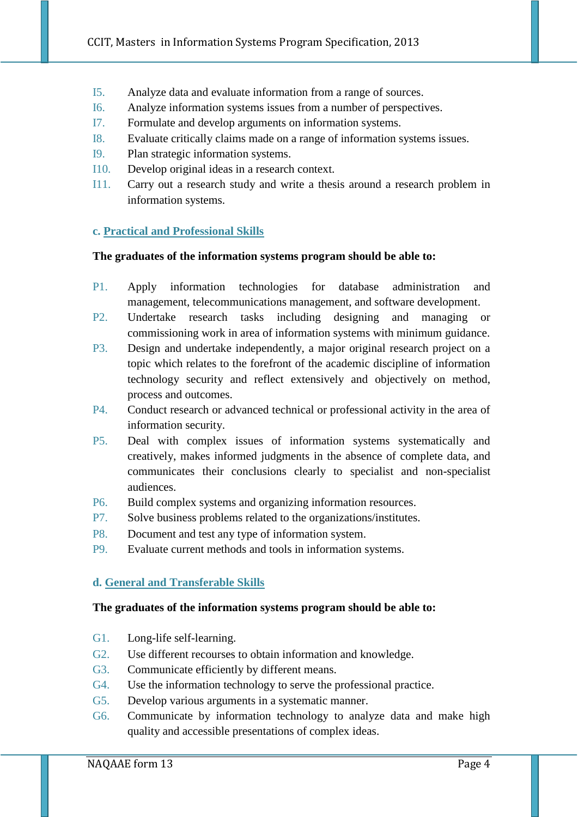- I5. Analyze data and evaluate information from a range of sources.
- I6. Analyze information systems issues from a number of perspectives.
- I7. Formulate and develop arguments on information systems.
- I8. Evaluate critically claims made on a range of information systems issues.
- I9. Plan strategic information systems.
- I10. Develop original ideas in a research context.
- I11. Carry out a research study and write a thesis around a research problem in information systems.

#### **c. Practical and Professional Skills**

#### **The graduates of the information systems program should be able to:**

- P1. Apply information technologies for database administration and management, telecommunications management, and software development.
- P2. Undertake research tasks including designing and managing or commissioning work in area of information systems with minimum guidance.
- P3. Design and undertake independently, a major original research project on a topic which relates to the forefront of the academic discipline of information technology security and reflect extensively and objectively on method, process and outcomes.
- P4. Conduct research or advanced technical or professional activity in the area of information security.
- P5. Deal with complex issues of information systems systematically and creatively, makes informed judgments in the absence of complete data, and communicates their conclusions clearly to specialist and non-specialist audiences.
- P6. Build complex systems and organizing information resources.
- P7. Solve business problems related to the organizations/institutes.
- P8. Document and test any type of information system.
- P9. Evaluate current methods and tools in information systems.

#### **d. General and Transferable Skills**

#### **The graduates of the information systems program should be able to:**

- G1. Long-life self-learning.
- G2. Use different recourses to obtain information and knowledge.
- G3. Communicate efficiently by different means.
- G4. Use the information technology to serve the professional practice.
- G5. Develop various arguments in a systematic manner.
- G6. Communicate by information technology to analyze data and make high quality and accessible presentations of complex ideas.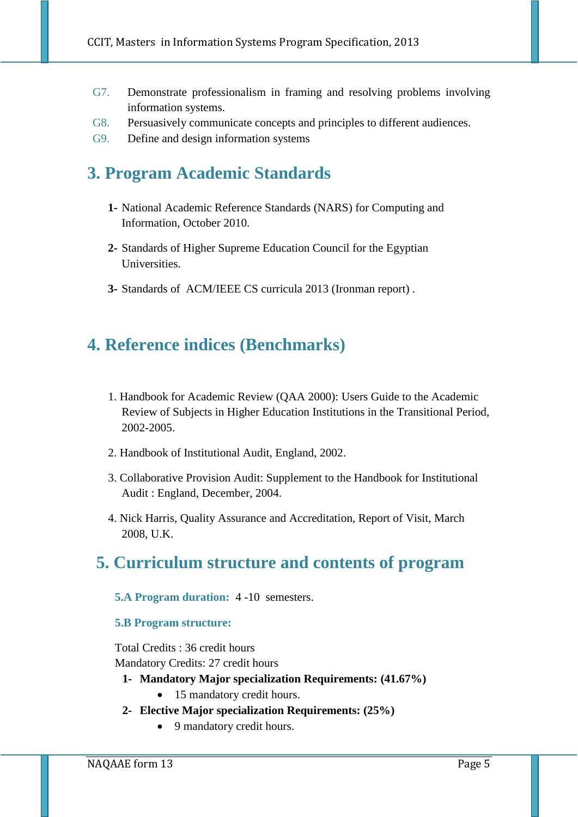- G7. Demonstrate professionalism in framing and resolving problems involving information systems.
- G8. Persuasively communicate concepts and principles to different audiences.
- G9. Define and design information systems

# **3. Program Academic Standards**

- **1-** National Academic Reference Standards (NARS) for Computing and Information, October 2010.
- **2-** Standards of Higher Supreme Education Council for the Egyptian Universities.
- **3-** Standards of ACM/IEEE CS curricula 2013 (Ironman report) .

## **4. Reference indices (Benchmarks)**

- 1. Handbook for Academic Review (QAA 2000): Users Guide to the Academic Review of Subjects in Higher Education Institutions in the Transitional Period, 2002-2005.
- 2. Handbook of Institutional Audit, England, 2002.
- 3. Collaborative Provision Audit: Supplement to the Handbook for Institutional Audit : England, December, 2004.
- 4. Nick Harris, Quality Assurance and Accreditation, Report of Visit, March 2008, U.K.

## **5. Curriculum structure and contents of program**

**5.A Program duration:** 4 -10 semesters.

#### **5.B Program structure:**

Total Credits : 36 credit hours

Mandatory Credits: 27 credit hours

- **1- Mandatory Major specialization Requirements: (41.67%)**
	- 15 mandatory credit hours.
- **2- Elective Major specialization Requirements: (25%)**
	- 9 mandatory credit hours.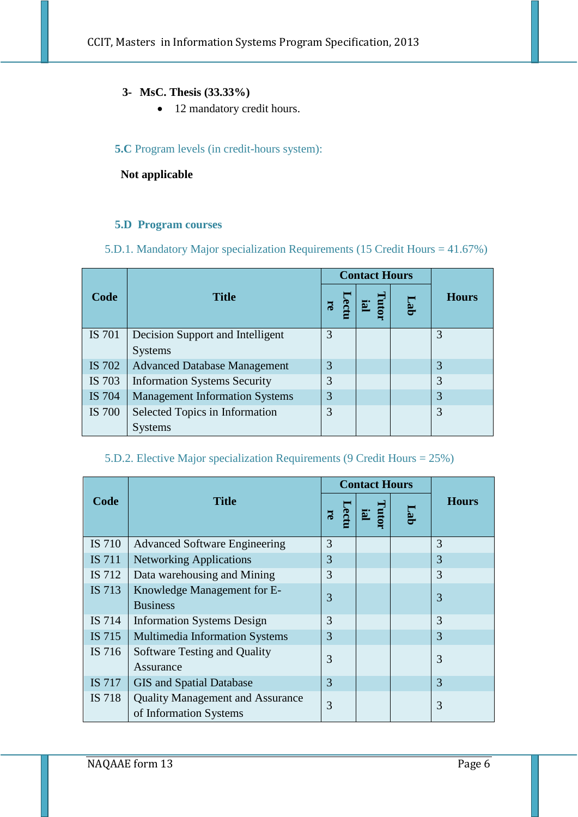### **3- MsC. Thesis (33.33%)**

• 12 mandatory credit hours.

### **5.C** Program levels (in credit-hours system):

#### **Not applicable**

#### **5.D Program courses**

#### 5.D.1. Mandatory Major specialization Requirements (15 Credit Hours = 41.67%)

|               |                                       |                        | <b>Contact Hours</b> |     |              |
|---------------|---------------------------------------|------------------------|----------------------|-----|--------------|
| Code          | <b>Title</b>                          | ectu<br>$\overline{5}$ | utor<br>ia.          | Lab | <b>Hours</b> |
| <b>IS 701</b> | Decision Support and Intelligent      | 3                      |                      |     | 3            |
|               | <b>Systems</b>                        |                        |                      |     |              |
| IS 702        | <b>Advanced Database Management</b>   | 3                      |                      |     | 3            |
| IS 703        | <b>Information Systems Security</b>   | 3                      |                      |     | 3            |
| IS 704        | <b>Management Information Systems</b> | 3                      |                      |     |              |
| IS 700        | Selected Topics in Information        | 3                      |                      |     | 3            |
|               | <b>Systems</b>                        |                        |                      |     |              |

### 5.D.2. Elective Major specialization Requirements (9 Credit Hours = 25%)

|               |                                                                   |                        | <b>Contact Hours</b>      |     |              |
|---------------|-------------------------------------------------------------------|------------------------|---------------------------|-----|--------------|
| Code          | <b>Title</b>                                                      | ectu<br>$\overline{5}$ | <b>Tutor</b><br><u>ia</u> | Lat | <b>Hours</b> |
| IS 710        | <b>Advanced Software Engineering</b>                              | 3                      |                           |     | 3            |
| <b>IS 711</b> | <b>Networking Applications</b>                                    | 3                      |                           |     | 3            |
| IS 712        | Data warehousing and Mining                                       | 3                      |                           |     | 3            |
| IS 713        | Knowledge Management for E-<br><b>Business</b>                    | 3                      |                           |     | 3            |
| IS 714        | <b>Information Systems Design</b>                                 | 3                      |                           |     | 3            |
| IS 715        | <b>Multimedia Information Systems</b>                             | 3                      |                           |     | 3            |
| IS 716        | Software Testing and Quality<br>Assurance                         | 3                      |                           |     | 3            |
| IS 717        | <b>GIS</b> and Spatial Database                                   | 3                      |                           |     | 3            |
| IS 718        | <b>Quality Management and Assurance</b><br>of Information Systems | 3                      |                           |     | 3            |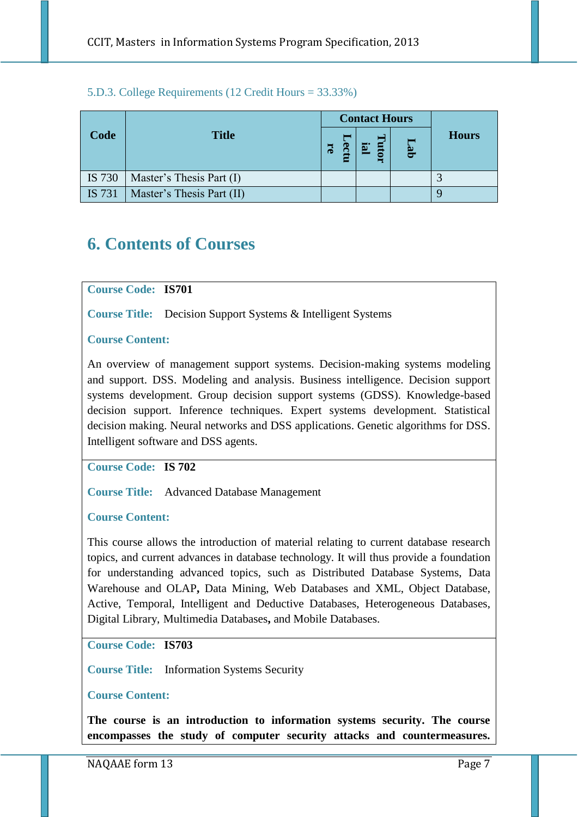#### 5.D.3. College Requirements (12 Credit Hours = 33.33%)

|        | <b>Title</b>              | <b>Contact Hours</b> |  |              |
|--------|---------------------------|----------------------|--|--------------|
| Code   |                           | $\mathbf{m}$<br>E    |  | <b>Hours</b> |
| IS 730 | Master's Thesis Part (I)  |                      |  |              |
| IS 731 | Master's Thesis Part (II) |                      |  |              |

# **6. Contents of Courses**

**Course Code: IS701**

**Course Title:** Decision Support Systems & Intelligent Systems

#### **Course Content:**

An overview of management support systems. Decision-making systems modeling and support. DSS. Modeling and analysis. Business intelligence. Decision support systems development. Group decision support systems (GDSS). Knowledge-based decision support. Inference techniques. Expert systems development. Statistical decision making. Neural networks and DSS applications. Genetic algorithms for DSS. Intelligent software and DSS agents.

**Course Code: IS 702**

**Course Title:** Advanced Database Management

#### **Course Content:**

This course allows the introduction of material relating to current database research topics, and current advances in database technology. It will thus provide a foundation for understanding advanced topics, such as Distributed Database Systems, Data Warehouse and OLAP**,** Data Mining, Web Databases and XML, Object Database, Active, Temporal, Intelligent and Deductive Databases, Heterogeneous Databases, Digital Library, Multimedia Databases**,** and Mobile Databases.

**Course Code: IS703**

**Course Title:** Information Systems Security

#### **Course Content:**

**The course is an introduction to information systems security. The course encompasses the study of computer security attacks and countermeasures.**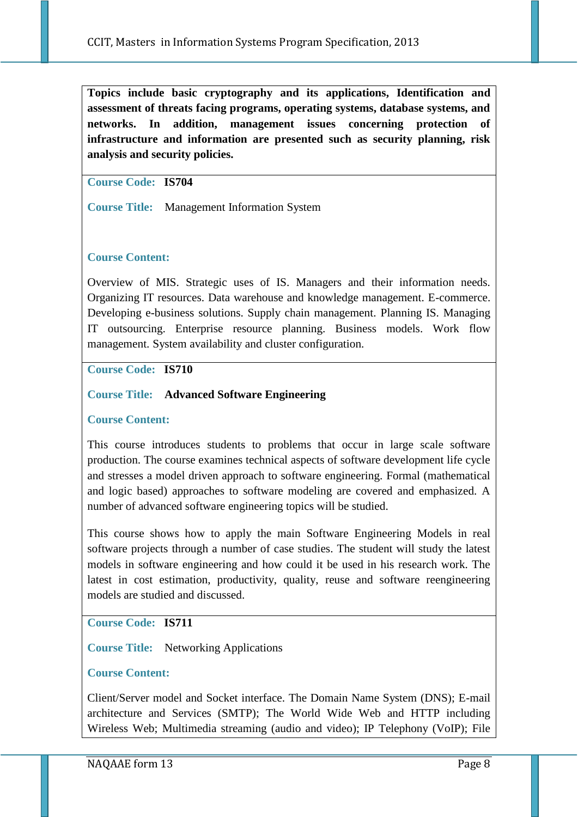**Topics include basic cryptography and its applications, Identification and assessment of threats facing programs, operating systems, database systems, and networks. In addition, management issues concerning protection of infrastructure and information are presented such as security planning, risk analysis and security policies.**

**Course Code: IS704**

**Course Title:** Management Information System

### **Course Content:**

Overview of MIS. Strategic uses of IS. Managers and their information needs. Organizing IT resources. Data warehouse and knowledge management. E-commerce. Developing e-business solutions. Supply chain management. Planning IS. Managing IT outsourcing. Enterprise resource planning. Business models. Work flow management. System availability and cluster configuration.

**Course Code: IS710**

### **Course Title: Advanced Software Engineering**

#### **Course Content:**

This course introduces students to problems that occur in large scale software production. The course examines technical aspects of software development life cycle and stresses a model driven approach to software engineering. Formal (mathematical and logic based) approaches to software modeling are covered and emphasized. A number of advanced software engineering topics will be studied.

This course shows how to apply the main Software Engineering Models in real software projects through a number of case studies. The student will study the latest models in software engineering and how could it be used in his research work. The latest in cost estimation, productivity, quality, reuse and software reengineering models are studied and discussed.

### **Course Code: IS711**

**Course Title:** Networking Applications

#### **Course Content:**

Client/Server model and Socket interface. The Domain Name System (DNS); E-mail architecture and Services (SMTP); The World Wide Web and HTTP including Wireless Web; Multimedia streaming (audio and video); IP Telephony (VoIP); File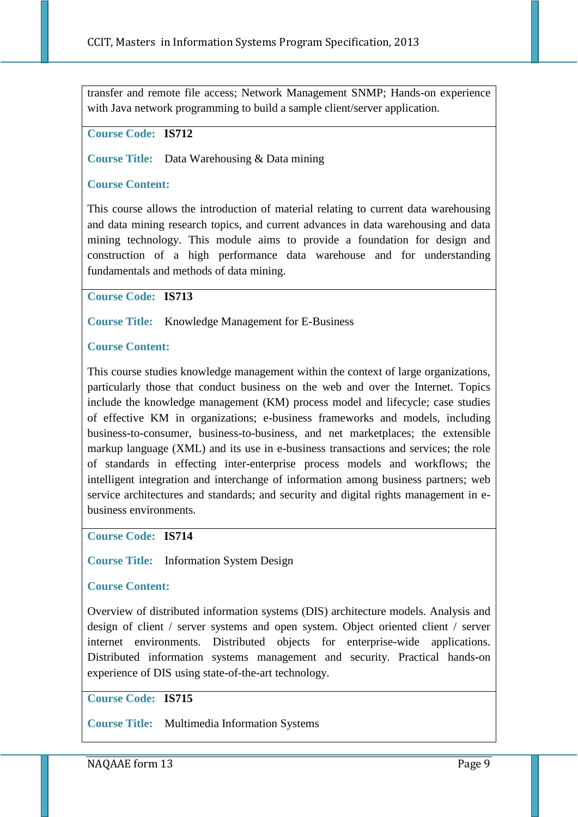transfer and remote file access; Network Management SNMP; Hands-on experience with Java network programming to build a sample client/server application.

### **Course Code: IS712**

**Course Title:** Data Warehousing & Data mining

**Course Content:**

This course allows the introduction of material relating to current data warehousing and data mining research topics, and current advances in data warehousing and data mining technology. This module aims to provide a foundation for design and construction of a high performance data warehouse and for understanding fundamentals and methods of data mining.

**Course Code: IS713**

**Course Title:** Knowledge Management for E-Business

#### **Course Content:**

This course studies knowledge management within the context of large organizations, particularly those that conduct business on the web and over the Internet. Topics include the knowledge management (KM) process model and lifecycle; case studies of effective KM in organizations; e-business frameworks and models, including business-to-consumer, business-to-business, and net marketplaces; the extensible markup language (XML) and its use in e-business transactions and services; the role of standards in effecting inter-enterprise process models and workflows; the intelligent integration and interchange of information among business partners; web service architectures and standards; and security and digital rights management in ebusiness environments.

**Course Code: IS714**

**Course Title:** Information System Design

#### **Course Content:**

Overview of distributed information systems (DIS) architecture models. Analysis and design of client / server systems and open system. Object oriented client / server internet environments. Distributed objects for enterprise-wide applications. Distributed information systems management and security. Practical hands-on experience of DIS using state-of-the-art technology.

**Course Code: IS715**

**Course Title:** Multimedia Information Systems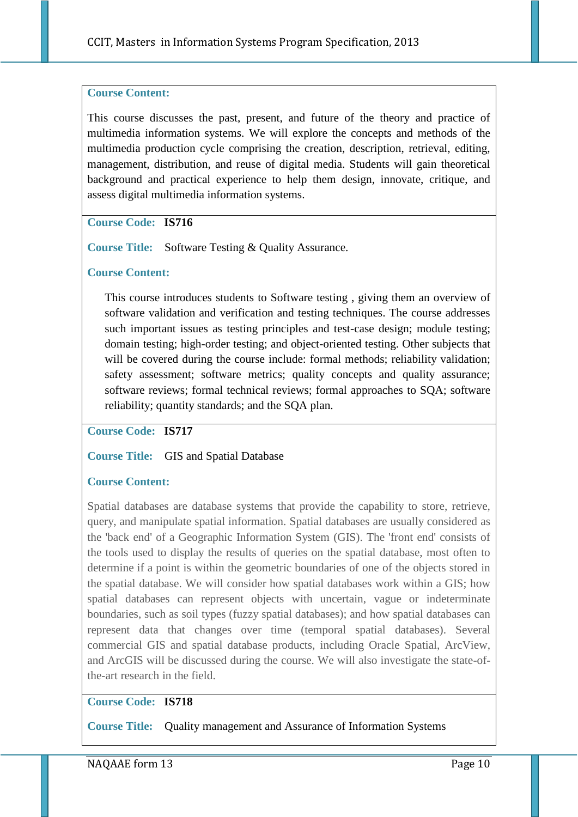#### **Course Content:**

This course discusses the past, present, and future of the theory and practice of multimedia information systems. We will explore the concepts and methods of the multimedia production cycle comprising the creation, description, retrieval, editing, management, distribution, and reuse of digital media. Students will gain theoretical background and practical experience to help them design, innovate, critique, and assess digital multimedia information systems.

### **Course Code: IS716**

**Course Title:** Software Testing & Quality Assurance.

#### **Course Content:**

This course introduces students to Software testing , giving them an overview of software validation and verification and testing techniques. The course addresses such important issues as testing principles and test-case design; module testing; domain testing; high-order testing; and object-oriented testing. Other subjects that will be covered during the course include: formal methods; reliability validation; safety assessment; software metrics; quality concepts and quality assurance; software reviews; formal technical reviews; formal approaches to SQA; software reliability; quantity standards; and the SQA plan.

**Course Code: IS717**

**Course Title:** GIS and Spatial Database

#### **Course Content:**

Spatial databases are database systems that provide the capability to store, retrieve, query, and manipulate spatial information. Spatial databases are usually considered as the 'back end' of a Geographic Information System (GIS). The 'front end' consists of the tools used to display the results of queries on the spatial database, most often to determine if a point is within the geometric boundaries of one of the objects stored in the spatial database. We will consider how spatial databases work within a GIS; how spatial databases can represent objects with uncertain, vague or indeterminate boundaries, such as soil types (fuzzy spatial databases); and how spatial databases can represent data that changes over time (temporal spatial databases). Several commercial GIS and spatial database products, including Oracle Spatial, ArcView, and ArcGIS will be discussed during the course. We will also investigate the state-ofthe-art research in the field.

#### **Course Code: IS718**

**Course Title:** Quality management and Assurance of Information Systems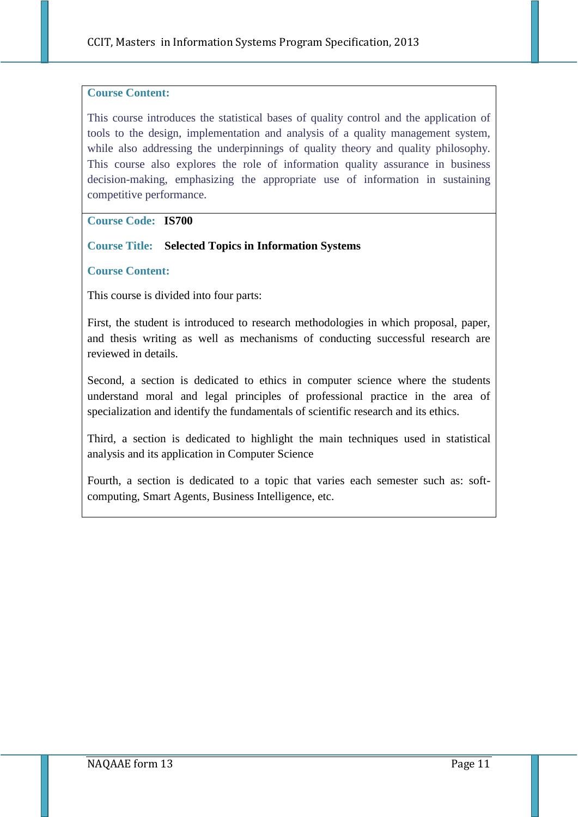#### **Course Content:**

This course introduces the statistical bases of quality control and the application of tools to the design, implementation and analysis of a quality management system, while also addressing the underpinnings of quality theory and quality philosophy. This course also explores the role of information quality assurance in business decision-making, emphasizing the appropriate use of information in sustaining competitive performance.

**Course Code: IS700**

#### **Course Title: Selected Topics in Information Systems**

**Course Content:**

This course is divided into four parts:

First, the student is introduced to research methodologies in which proposal, paper, and thesis writing as well as mechanisms of conducting successful research are reviewed in details.

Second, a section is dedicated to ethics in computer science where the students understand moral and legal principles of professional practice in the area of specialization and identify the fundamentals of scientific research and its ethics.

Third, a section is dedicated to highlight the main techniques used in statistical analysis and its application in Computer Science

Fourth, a section is dedicated to a topic that varies each semester such as: softcomputing, Smart Agents, Business Intelligence, etc.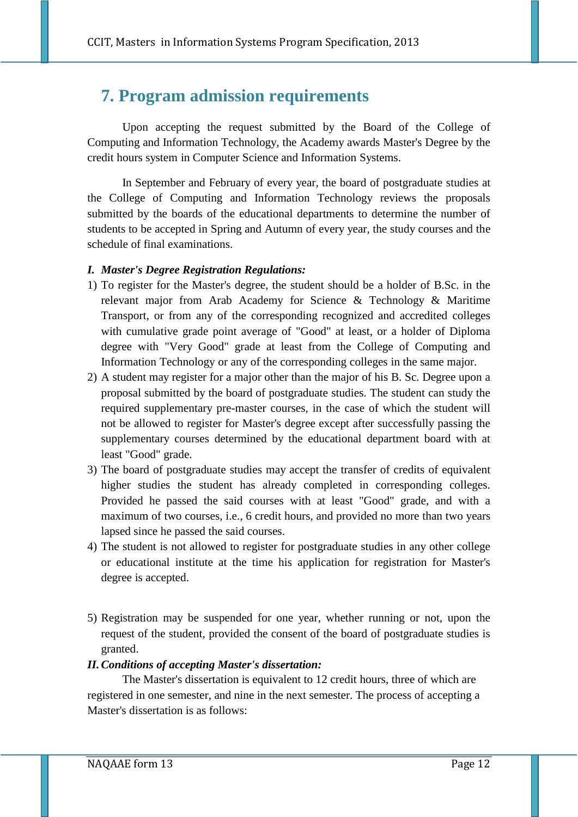# **7. Program admission requirements**

Upon accepting the request submitted by the Board of the College of Computing and Information Technology, the Academy awards Master's Degree by the credit hours system in Computer Science and Information Systems.

In September and February of every year, the board of postgraduate studies at the College of Computing and Information Technology reviews the proposals submitted by the boards of the educational departments to determine the number of students to be accepted in Spring and Autumn of every year, the study courses and the schedule of final examinations.

#### *I. Master's Degree Registration Regulations:*

- 1) To register for the Master's degree, the student should be a holder of B.Sc. in the relevant major from Arab Academy for Science & Technology & Maritime Transport, or from any of the corresponding recognized and accredited colleges with cumulative grade point average of "Good" at least, or a holder of Diploma degree with "Very Good" grade at least from the College of Computing and Information Technology or any of the corresponding colleges in the same major.
- 2) A student may register for a major other than the major of his B. Sc. Degree upon a proposal submitted by the board of postgraduate studies. The student can study the required supplementary pre-master courses, in the case of which the student will not be allowed to register for Master's degree except after successfully passing the supplementary courses determined by the educational department board with at least "Good" grade.
- 3) The board of postgraduate studies may accept the transfer of credits of equivalent higher studies the student has already completed in corresponding colleges. Provided he passed the said courses with at least "Good" grade, and with a maximum of two courses, i.e., 6 credit hours, and provided no more than two years lapsed since he passed the said courses.
- 4) The student is not allowed to register for postgraduate studies in any other college or educational institute at the time his application for registration for Master's degree is accepted.
- 5) Registration may be suspended for one year, whether running or not, upon the request of the student, provided the consent of the board of postgraduate studies is granted.

### *II.Conditions of accepting Master's dissertation:*

The Master's dissertation is equivalent to 12 credit hours, three of which are registered in one semester, and nine in the next semester. The process of accepting a Master's dissertation is as follows: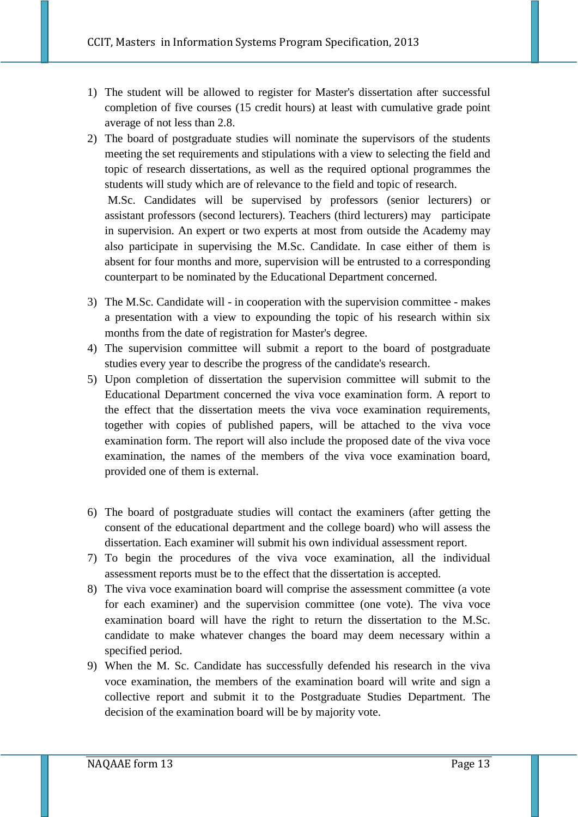- 1) The student will be allowed to register for Master's dissertation after successful completion of five courses (15 credit hours) at least with cumulative grade point average of not less than 2.8.
- 2) The board of postgraduate studies will nominate the supervisors of the students meeting the set requirements and stipulations with a view to selecting the field and topic of research dissertations, as well as the required optional programmes the students will study which are of relevance to the field and topic of research.

M.Sc. Candidates will be supervised by professors (senior lecturers) or assistant professors (second lecturers). Teachers (third lecturers) may participate in supervision. An expert or two experts at most from outside the Academy may also participate in supervising the M.Sc. Candidate. In case either of them is absent for four months and more, supervision will be entrusted to a corresponding counterpart to be nominated by the Educational Department concerned.

- 3) The M.Sc. Candidate will in cooperation with the supervision committee makes a presentation with a view to expounding the topic of his research within six months from the date of registration for Master's degree.
- 4) The supervision committee will submit a report to the board of postgraduate studies every year to describe the progress of the candidate's research.
- 5) Upon completion of dissertation the supervision committee will submit to the Educational Department concerned the viva voce examination form. A report to the effect that the dissertation meets the viva voce examination requirements, together with copies of published papers, will be attached to the viva voce examination form. The report will also include the proposed date of the viva voce examination, the names of the members of the viva voce examination board, provided one of them is external.
- 6) The board of postgraduate studies will contact the examiners (after getting the consent of the educational department and the college board) who will assess the dissertation. Each examiner will submit his own individual assessment report.
- 7) To begin the procedures of the viva voce examination, all the individual assessment reports must be to the effect that the dissertation is accepted.
- 8) The viva voce examination board will comprise the assessment committee (a vote for each examiner) and the supervision committee (one vote). The viva voce examination board will have the right to return the dissertation to the M.Sc. candidate to make whatever changes the board may deem necessary within a specified period.
- 9) When the M. Sc. Candidate has successfully defended his research in the viva voce examination, the members of the examination board will write and sign a collective report and submit it to the Postgraduate Studies Department. The decision of the examination board will be by majority vote.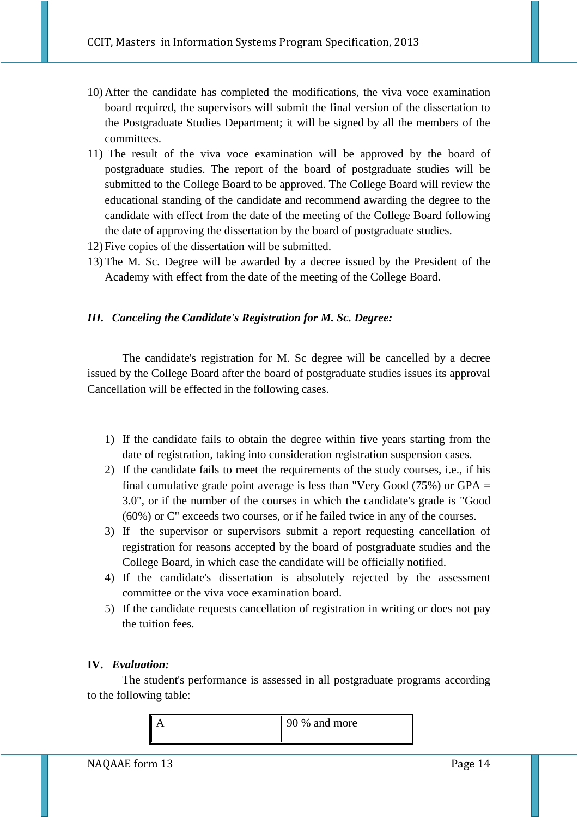- 10) After the candidate has completed the modifications, the viva voce examination board required, the supervisors will submit the final version of the dissertation to the Postgraduate Studies Department; it will be signed by all the members of the committees.
- 11) The result of the viva voce examination will be approved by the board of postgraduate studies. The report of the board of postgraduate studies will be submitted to the College Board to be approved. The College Board will review the educational standing of the candidate and recommend awarding the degree to the candidate with effect from the date of the meeting of the College Board following the date of approving the dissertation by the board of postgraduate studies.
- 12) Five copies of the dissertation will be submitted.
- 13) The M. Sc. Degree will be awarded by a decree issued by the President of the Academy with effect from the date of the meeting of the College Board.

#### *III. Canceling the Candidate's Registration for M. Sc. Degree:*

The candidate's registration for M. Sc degree will be cancelled by a decree issued by the College Board after the board of postgraduate studies issues its approval Cancellation will be effected in the following cases.

- 1) If the candidate fails to obtain the degree within five years starting from the date of registration, taking into consideration registration suspension cases.
- 2) If the candidate fails to meet the requirements of the study courses, i.e., if his final cumulative grade point average is less than "Very Good  $(75%)$  or GPA = 3.0", or if the number of the courses in which the candidate's grade is "Good (60%) or C" exceeds two courses, or if he failed twice in any of the courses.
- 3) If the supervisor or supervisors submit a report requesting cancellation of registration for reasons accepted by the board of postgraduate studies and the College Board, in which case the candidate will be officially notified.
- 4) If the candidate's dissertation is absolutely rejected by the assessment committee or the viva voce examination board.
- 5) If the candidate requests cancellation of registration in writing or does not pay the tuition fees.

#### **IV.** *Evaluation:*

The student's performance is assessed in all postgraduate programs according to the following table:

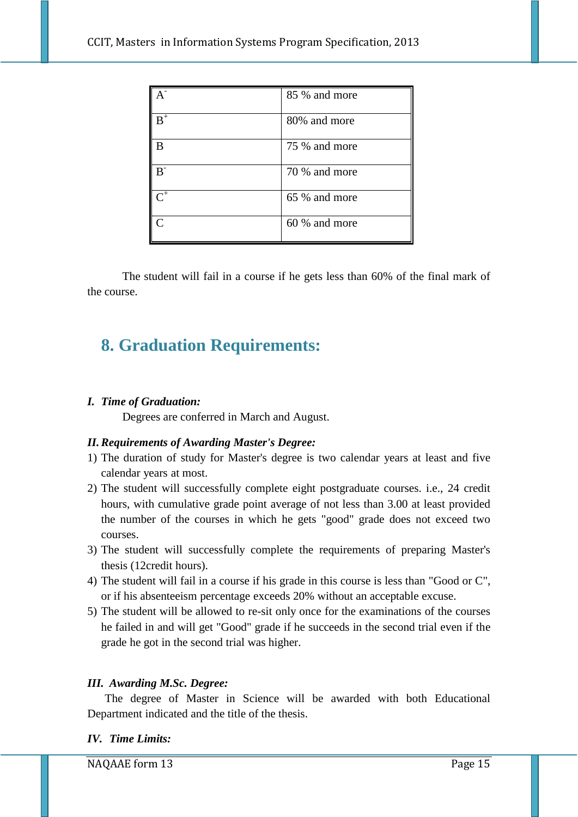|                | 85 % and more |
|----------------|---------------|
| $B^+$          | 80% and more  |
| B              | 75 % and more |
|                | 70 % and more |
| $\overline{C}$ | 65 % and more |
|                | 60 % and more |

The student will fail in a course if he gets less than 60% of the final mark of the course.

# **8. Graduation Requirements:**

### *I. Time of Graduation:*

Degrees are conferred in March and August.

#### *II.Requirements of Awarding Master's Degree:*

- 1) The duration of study for Master's degree is two calendar years at least and five calendar years at most.
- 2) The student will successfully complete eight postgraduate courses. i.e., 24 credit hours, with cumulative grade point average of not less than 3.00 at least provided the number of the courses in which he gets "good" grade does not exceed two courses.
- 3) The student will successfully complete the requirements of preparing Master's thesis (12credit hours).
- 4) The student will fail in a course if his grade in this course is less than "Good or C", or if his absenteeism percentage exceeds 20% without an acceptable excuse.
- 5) The student will be allowed to re-sit only once for the examinations of the courses he failed in and will get "Good" grade if he succeeds in the second trial even if the grade he got in the second trial was higher.

### *III. Awarding M.Sc. Degree:*

The degree of Master in Science will be awarded with both Educational Department indicated and the title of the thesis.

#### *IV. Time Limits:*

NAQAAE form 13 Page 15